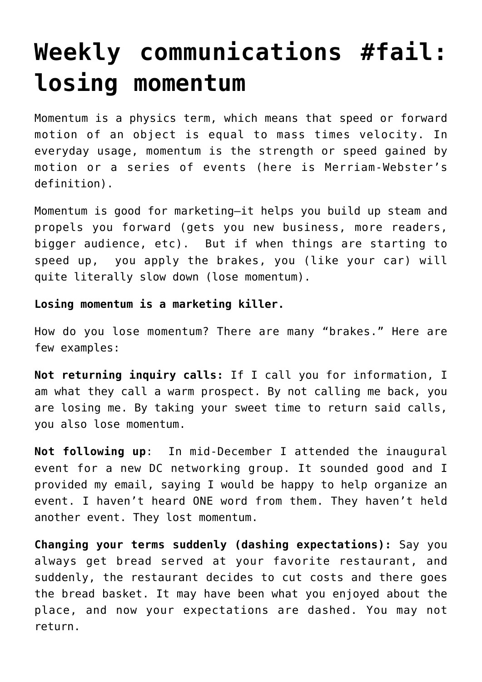## **[Weekly communications #fail:](https://deborahbrody.com/2012/03/weekly-communications-fail-losing-momentum/) [losing momentum](https://deborahbrody.com/2012/03/weekly-communications-fail-losing-momentum/)**

Momentum is a physics term, which means that speed or forward motion of an object is equal to mass times velocity. In everyday usage, momentum is the strength or speed gained by motion or a series of events ([here is Merriam-Webster's](http://www.merriam-webster.com/dictionary/momentum) definition).

Momentum is good for marketing–it helps you build up steam and propels you forward (gets you new business, more readers, bigger audience, etc). But if when things are starting to speed up, you apply the brakes, you (like your car) will quite literally slow down (lose momentum).

**Losing momentum is a marketing killer.**

How do you lose momentum? There are many "brakes." Here are few examples:

**Not returning inquiry calls:** If I call you for information, I am what they call a warm prospect. By not calling me back, you are losing me. By taking your sweet time to return said calls, you also lose momentum.

**Not following up**: In mid-December I attended the inaugural event for a new DC networking group. It sounded good and I provided my email, saying I would be happy to help organize an event. I haven't heard ONE word from them. They haven't held another event. They lost momentum.

**Changing your terms suddenly (dashing expectations):** Say you always get bread served at your favorite restaurant, and suddenly, the restaurant decides to cut costs and there goes the bread basket. It may have been what you enjoyed about the place, and now your expectations are dashed. You may not return.